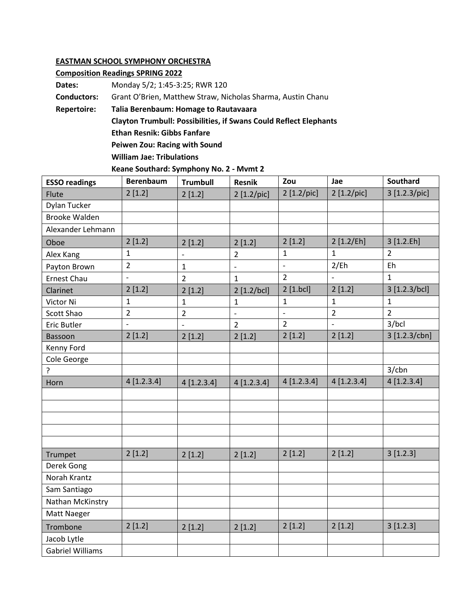## **EASTMAN SCHOOL SYMPHONY ORCHESTRA**

| <b>Composition Readings SPRING 2022</b> |                                                                          |  |  |  |  |  |  |
|-----------------------------------------|--------------------------------------------------------------------------|--|--|--|--|--|--|
| Dates:                                  | Monday 5/2; 1:45-3:25; RWR 120                                           |  |  |  |  |  |  |
| <b>Conductors:</b>                      | Grant O'Brien, Matthew Straw, Nicholas Sharma, Austin Chanu              |  |  |  |  |  |  |
| Repertoire:                             | Talia Berenbaum: Homage to Rautavaara                                    |  |  |  |  |  |  |
|                                         | <b>Clayton Trumbull: Possibilities, if Swans Could Reflect Elephants</b> |  |  |  |  |  |  |
|                                         | <b>Ethan Resnik: Gibbs Fanfare</b>                                       |  |  |  |  |  |  |
|                                         | <b>Peiwen Zou: Racing with Sound</b>                                     |  |  |  |  |  |  |
|                                         | <b>William Jae: Tribulations</b>                                         |  |  |  |  |  |  |
|                                         | Keane Southard: Symphony No. 2 - Mvmt 2                                  |  |  |  |  |  |  |

| <b>ESSO readings</b>    | <b>Berenbaum</b> | <b>Trumbull</b> | <b>Resnik</b>  | Zou            | Jae            | <b>Southard</b> |
|-------------------------|------------------|-----------------|----------------|----------------|----------------|-----------------|
| Flute                   | 2[1.2]           | 2[1.2]          | 2 [1.2/pic]    | 2 [1.2/pic]    | 2 [1.2/pic]    | 3 [1.2.3/pic]   |
| <b>Dylan Tucker</b>     |                  |                 |                |                |                |                 |
| <b>Brooke Walden</b>    |                  |                 |                |                |                |                 |
| Alexander Lehmann       |                  |                 |                |                |                |                 |
| Oboe                    | 2[1.2]           | 2[1.2]          | 2[1.2]         | 2[1.2]         | 2 [1.2/Eh]     | 3 [1.2.Eh]      |
| Alex Kang               | $\mathbf{1}$     | $\blacksquare$  | $\overline{2}$ | $\mathbf{1}$   | $\mathbf{1}$   | $\overline{2}$  |
| Payton Brown            | $\overline{2}$   | $\mathbf{1}$    | $\overline{a}$ | $\blacksquare$ | 2/Eh           | Eh              |
| <b>Ernest Chau</b>      | $\overline{a}$   | $\overline{2}$  | $\mathbf{1}$   | $\overline{2}$ |                | $\mathbf{1}$    |
| Clarinet                | 2[1.2]           | 2[1.2]          | 2 [1.2/bc]     | $2$ [1.bcl]    | 2[1.2]         | 3 [1.2.3/bcl]   |
| Victor Ni               | $\mathbf{1}$     | $\mathbf{1}$    | $\mathbf{1}$   | $\mathbf 1$    | $\mathbf{1}$   | $\mathbf{1}$    |
| Scott Shao              | $\overline{2}$   | $\overline{2}$  | $\overline{a}$ | $\overline{a}$ | $\overline{2}$ | $\overline{2}$  |
| Eric Butler             | $\overline{a}$   |                 | $\overline{2}$ | $\overline{2}$ | $\overline{a}$ | 3/bcl           |
| Bassoon                 | 2[1.2]           | 2[1.2]          | 2[1.2]         | 2[1.2]         | 2[1.2]         | 3 [1.2.3/cbn]   |
| Kenny Ford              |                  |                 |                |                |                |                 |
| Cole George             |                  |                 |                |                |                |                 |
| $\overline{?}$          |                  |                 |                |                |                | $3$ /cbn        |
| Horn                    | 4[1.2.3.4]       | 4[1.2.3.4]      | 4[1.2.3.4]     | 4[1.2.3.4]     | 4[1.2.3.4]     | 4[1.2.3.4]      |
|                         |                  |                 |                |                |                |                 |
|                         |                  |                 |                |                |                |                 |
|                         |                  |                 |                |                |                |                 |
|                         |                  |                 |                |                |                |                 |
|                         |                  |                 |                |                |                |                 |
| Trumpet                 | 2[1.2]           | 2[1.2]          | 2[1.2]         | 2[1.2]         | 2[1.2]         | 3[1.2.3]        |
| Derek Gong              |                  |                 |                |                |                |                 |
| Norah Krantz            |                  |                 |                |                |                |                 |
| Sam Santiago            |                  |                 |                |                |                |                 |
| Nathan McKinstry        |                  |                 |                |                |                |                 |
| Matt Naeger             |                  |                 |                |                |                |                 |
| Trombone                | 2[1.2]           | 2[1.2]          | 2[1.2]         | 2[1.2]         | 2[1.2]         | 3[1.2.3]        |
| Jacob Lytle             |                  |                 |                |                |                |                 |
| <b>Gabriel Williams</b> |                  |                 |                |                |                |                 |